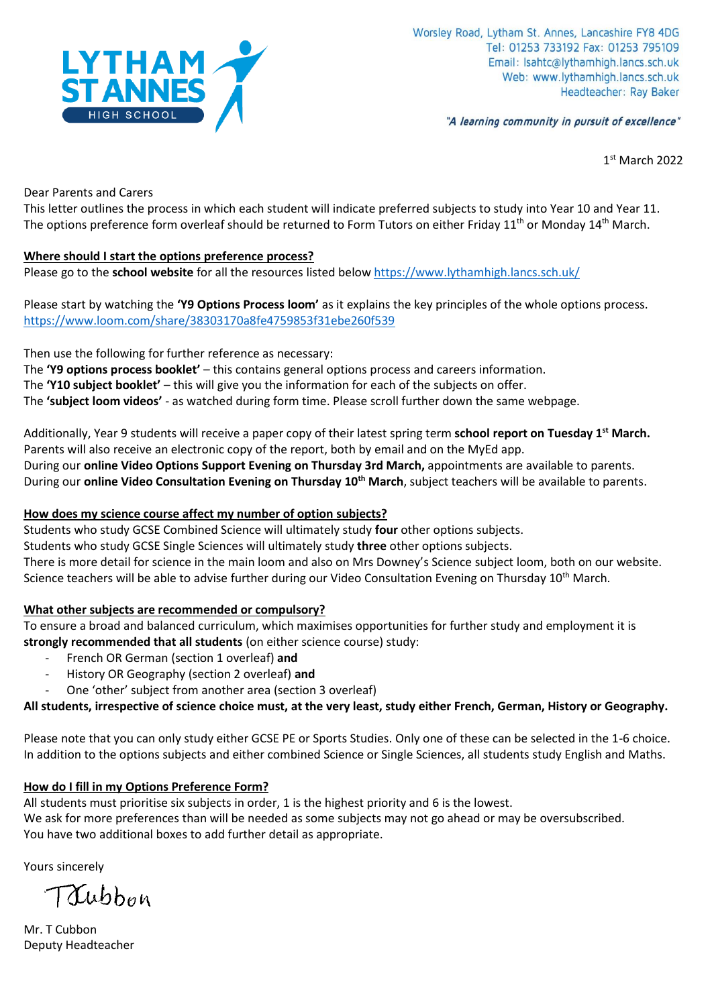

"A learning community in pursuit of excellence"

1 st March 2022

Dear Parents and Carers

This letter outlines the process in which each student will indicate preferred subjects to study into Year 10 and Year 11. The options preference form overleaf should be returned to Form Tutors on either Friday  $11<sup>th</sup>$  or Monday  $14<sup>th</sup>$  March.

## **Where should I start the options preference process?**

Please go to the **school website** for all the resources listed below <https://www.lythamhigh.lancs.sch.uk/>

Please start by watching the **'Y9 Options Process loom'** as it explains the key principles of the whole options process. <https://www.loom.com/share/38303170a8fe4759853f31ebe260f539>

Then use the following for further reference as necessary:

The **'Y9 options process booklet'** – this contains general options process and careers information. The **'Y10 subject booklet'** – this will give you the information for each of the subjects on offer.

The **'subject loom videos'** - as watched during form time. Please scroll further down the same webpage.

Additionally, Year 9 students will receive a paper copy of their latest spring term **school report on Tuesday 1st March.** Parents will also receive an electronic copy of the report, both by email and on the MyEd app. During our **online Video Options Support Evening on Thursday 3rd March,** appointments are available to parents. During our **online Video Consultation Evening on Thursday 10th March**, subject teachers will be available to parents.

# **How does my science course affect my number of option subjects?**

Students who study GCSE Combined Science will ultimately study **four** other options subjects. Students who study GCSE Single Sciences will ultimately study **three** other options subjects.

There is more detail for science in the main loom and also on Mrs Downey's Science subject loom, both on our website. Science teachers will be able to advise further during our Video Consultation Evening on Thursday 10<sup>th</sup> March.

# **What other subjects are recommended or compulsory?**

To ensure a broad and balanced curriculum, which maximises opportunities for further study and employment it is **strongly recommended that all students** (on either science course) study:

- French OR German (section 1 overleaf) **and**
- History OR Geography (section 2 overleaf) **and**
- One 'other' subject from another area (section 3 overleaf)

# **All students, irrespective of science choice must, at the very least, study either French, German, History or Geography.**

Please note that you can only study either GCSE PE or Sports Studies. Only one of these can be selected in the 1-6 choice. In addition to the options subjects and either combined Science or Single Sciences, all students study English and Maths.

# **How do I fill in my Options Preference Form?**

All students must prioritise six subjects in order, 1 is the highest priority and 6 is the lowest.

We ask for more preferences than will be needed as some subjects may not go ahead or may be oversubscribed. You have two additional boxes to add further detail as appropriate.

Yours sincerely

Trubbon

Mr. T Cubbon Deputy Headteacherf